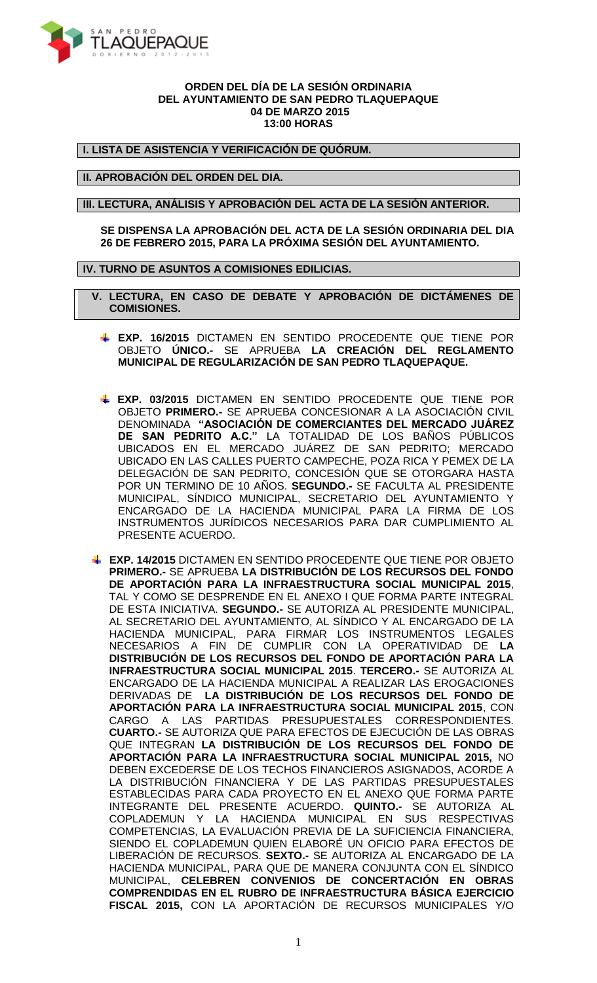

## **ORDEN DEL DÍA DE LA SESIÓN ORDINARIA DEL AYUNTAMIENTO DE SAN PEDRO TLAQUEPAQUE 04 DE MARZO 2015 13:00 HORAS**

**I. LISTA DE ASISTENCIA Y VERIFICACIÓN DE QUÓRUM.**

**II. APROBACIÓN DEL ORDEN DEL DIA.**

**III. LECTURA, ANÁLISIS Y APROBACIÓN DEL ACTA DE LA SESIÓN ANTERIOR.**

**SE DISPENSA LA APROBACIÓN DEL ACTA DE LA SESIÓN ORDINARIA DEL DIA 26 DE FEBRERO 2015, PARA LA PRÓXIMA SESIÓN DEL AYUNTAMIENTO.**

**IV. TURNO DE ASUNTOS A COMISIONES EDILICIAS.**

 **V. LECTURA, EN CASO DE DEBATE Y APROBACIÓN DE DICTÁMENES DE COMISIONES.**

- **EXP. 16/2015** DICTAMEN EN SENTIDO PROCEDENTE QUE TIENE POR OBJETO **ÚNICO.-** SE APRUEBA **LA CREACIÓN DEL REGLAMENTO MUNICIPAL DE REGULARIZACIÓN DE SAN PEDRO TLAQUEPAQUE.**
- **EXP. 03/2015** DICTAMEN EN SENTIDO PROCEDENTE QUE TIENE POR OBJETO **PRIMERO.-** SE APRUEBA CONCESIONAR A LA ASOCIACIÓN CIVIL DENOMINADA **"ASOCIACIÓN DE COMERCIANTES DEL MERCADO JUÁREZ DE SAN PEDRITO A.C."** LA TOTALIDAD DE LOS BAÑOS PÚBLICOS UBICADOS EN EL MERCADO JUÁREZ DE SAN PEDRITO; MERCADO UBICADO EN LAS CALLES PUERTO CAMPECHE, POZA RICA Y PEMEX DE LA DELEGACIÓN DE SAN PEDRITO, CONCESIÓN QUE SE OTORGARA HASTA POR UN TERMINO DE 10 AÑOS. **SEGUNDO.-** SE FACULTA AL PRESIDENTE MUNICIPAL, SÍNDICO MUNICIPAL, SECRETARIO DEL AYUNTAMIENTO Y ENCARGADO DE LA HACIENDA MUNICIPAL PARA LA FIRMA DE LOS INSTRUMENTOS JURÍDICOS NECESARIOS PARA DAR CUMPLIMIENTO AL PRESENTE ACUERDO.
- **EXP. 14/2015** DICTAMEN EN SENTIDO PROCEDENTE QUE TIENE POR OBJETO **PRIMERO.-** SE APRUEBA **LA DISTRIBUCIÓN DE LOS RECURSOS DEL FONDO DE APORTACIÓN PARA LA INFRAESTRUCTURA SOCIAL MUNICIPAL 2015**, TAL Y COMO SE DESPRENDE EN EL ANEXO I QUE FORMA PARTE INTEGRAL DE ESTA INICIATIVA. **SEGUNDO.-** SE AUTORIZA AL PRESIDENTE MUNICIPAL, AL SECRETARIO DEL AYUNTAMIENTO, AL SÍNDICO Y AL ENCARGADO DE LA HACIENDA MUNICIPAL, PARA FIRMAR LOS INSTRUMENTOS LEGALES NECESARIOS A FIN DE CUMPLIR CON LA OPERATIVIDAD DE **LA DISTRIBUCIÓN DE LOS RECURSOS DEL FONDO DE APORTACIÓN PARA LA INFRAESTRUCTURA SOCIAL MUNICIPAL 2015**. **TERCERO.-** SE AUTORIZA AL ENCARGADO DE LA HACIENDA MUNICIPAL A REALIZAR LAS EROGACIONES DERIVADAS DE **LA DISTRIBUCIÓN DE LOS RECURSOS DEL FONDO DE APORTACIÓN PARA LA INFRAESTRUCTURA SOCIAL MUNICIPAL 2015**, CON CARGO A LAS PARTIDAS PRESUPUESTALES CORRESPONDIENTES. **CUARTO.-** SE AUTORIZA QUE PARA EFECTOS DE EJECUCIÓN DE LAS OBRAS QUE INTEGRAN **LA DISTRIBUCIÓN DE LOS RECURSOS DEL FONDO DE APORTACIÓN PARA LA INFRAESTRUCTURA SOCIAL MUNICIPAL 2015,** NO DEBEN EXCEDERSE DE LOS TECHOS FINANCIEROS ASIGNADOS, ACORDE A LA DISTRIBUCIÓN FINANCIERA Y DE LAS PARTIDAS PRESUPUESTALES ESTABLECIDAS PARA CADA PROYECTO EN EL ANEXO QUE FORMA PARTE INTEGRANTE DEL PRESENTE ACUERDO. **QUINTO.-** SE AUTORIZA AL COPLADEMUN Y LA HACIENDA MUNICIPAL EN SUS RESPECTIVAS COMPETENCIAS, LA EVALUACIÓN PREVIA DE LA SUFICIENCIA FINANCIERA, SIENDO EL COPLADEMUN QUIEN ELABORÉ UN OFICIO PARA EFECTOS DE LIBERACIÓN DE RECURSOS. **SEXTO.-** SE AUTORIZA AL ENCARGADO DE LA HACIENDA MUNICIPAL, PARA QUE DE MANERA CONJUNTA CON EL SÍNDICO MUNICIPAL, **CELEBREN CONVENIOS DE CONCERTACIÓN EN OBRAS COMPRENDIDAS EN EL RUBRO DE INFRAESTRUCTURA BÁSICA EJERCICIO FISCAL 2015,** CON LA APORTACIÓN DE RECURSOS MUNICIPALES Y/O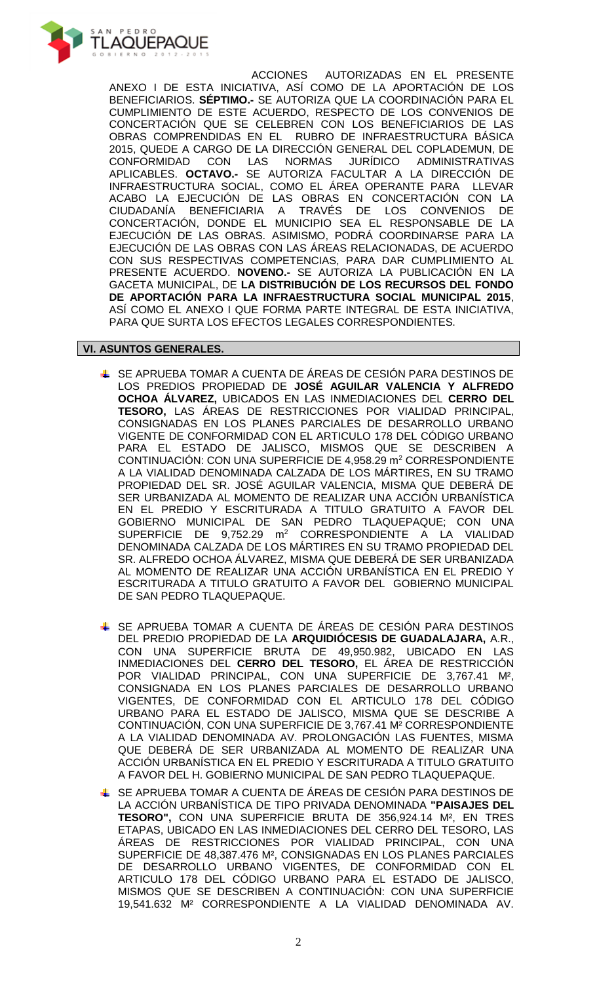

ACCIONES AUTORIZADAS EN EL PRESENTE ANEXO I DE ESTA INICIATIVA, ASÍ COMO DE LA APORTACIÓN DE LOS BENEFICIARIOS. **SÉPTIMO.-** SE AUTORIZA QUE LA COORDINACIÓN PARA EL CUMPLIMIENTO DE ESTE ACUERDO, RESPECTO DE LOS CONVENIOS DE CONCERTACIÓN QUE SE CELEBREN CON LOS BENEFICIARIOS DE LAS OBRAS COMPRENDIDAS EN EL RUBRO DE INFRAESTRUCTURA BÁSICA 2015, QUEDE A CARGO DE LA DIRECCIÓN GENERAL DEL COPLADEMUN, DE<br>CONFORMIDAD CON LAS NORMAS JURÍDICO ADMINISTRATIVAS ADMINISTRATIVAS APLICABLES. **OCTAVO.-** SE AUTORIZA FACULTAR A LA DIRECCIÓN DE INFRAESTRUCTURA SOCIAL, COMO EL ÁREA OPERANTE PARA LLEVAR ACABO LA EJECUCIÓN DE LAS OBRAS EN CONCERTACIÓN CON LA CIUDADANÍA BENEFICIARIA A TRAVÉS DE LOS CONVENIOS DE CONCERTACIÓN, DONDE EL MUNICIPIO SEA EL RESPONSABLE DE LA EJECUCIÓN DE LAS OBRAS. ASIMISMO, PODRÁ COORDINARSE PARA LA EJECUCIÓN DE LAS OBRAS CON LAS ÁREAS RELACIONADAS, DE ACUERDO CON SUS RESPECTIVAS COMPETENCIAS, PARA DAR CUMPLIMIENTO AL PRESENTE ACUERDO. **NOVENO.-** SE AUTORIZA LA PUBLICACIÓN EN LA GACETA MUNICIPAL, DE **LA DISTRIBUCIÓN DE LOS RECURSOS DEL FONDO DE APORTACIÓN PARA LA INFRAESTRUCTURA SOCIAL MUNICIPAL 2015**, ASÍ COMO EL ANEXO I QUE FORMA PARTE INTEGRAL DE ESTA INICIATIVA, PARA QUE SURTA LOS EFECTOS LEGALES CORRESPONDIENTES.

## **VI. ASUNTOS GENERALES.**

- SE APRUEBA TOMAR A CUENTA DE ÁREAS DE CESIÓN PARA DESTINOS DE LOS PREDIOS PROPIEDAD DE **JOSÉ AGUILAR VALENCIA Y ALFREDO OCHOA ÁLVAREZ,** UBICADOS EN LAS INMEDIACIONES DEL **CERRO DEL TESORO,** LAS ÁREAS DE RESTRICCIONES POR VIALIDAD PRINCIPAL, CONSIGNADAS EN LOS PLANES PARCIALES DE DESARROLLO URBANO VIGENTE DE CONFORMIDAD CON EL ARTICULO 178 DEL CÓDIGO URBANO PARA EL ESTADO DE JALISCO, MISMOS QUE SE DESCRIBEN A CONTINUACIÓN: CON UNA SUPERFICIE DE 4,958.29 m<sup>2</sup> CORRESPONDIENTE A LA VIALIDAD DENOMINADA CALZADA DE LOS MÁRTIRES, EN SU TRAMO PROPIEDAD DEL SR. JOSÉ AGUILAR VALENCIA, MISMA QUE DEBERÁ DE SER URBANIZADA AL MOMENTO DE REALIZAR UNA ACCIÓN URBANÍSTICA EN EL PREDIO Y ESCRITURADA A TITULO GRATUITO A FAVOR DEL GOBIERNO MUNICIPAL DE SAN PEDRO TLAQUEPAQUE; CON UNA SUPERFICIE DE 9,752.29 m<sup>2</sup> CORRESPONDIENTE A LA VIALIDAD DENOMINADA CALZADA DE LOS MÁRTIRES EN SU TRAMO PROPIEDAD DEL SR. ALFREDO OCHOA ÁLVAREZ, MISMA QUE DEBERÁ DE SER URBANIZADA AL MOMENTO DE REALIZAR UNA ACCIÓN URBANÍSTICA EN EL PREDIO Y ESCRITURADA A TITULO GRATUITO A FAVOR DEL GOBIERNO MUNICIPAL DE SAN PEDRO TLAQUEPAQUE.
- + SE APRUEBA TOMAR A CUENTA DE ÁREAS DE CESIÓN PARA DESTINOS DEL PREDIO PROPIEDAD DE LA **ARQUIDIÓCESIS DE GUADALAJARA,** A.R., CON UNA SUPERFICIE BRUTA DE 49,950.982, UBICADO EN LAS INMEDIACIONES DEL **CERRO DEL TESORO,** EL ÁREA DE RESTRICCIÓN POR VIALIDAD PRINCIPAL, CON UNA SUPERFICIE DE 3,767.41 M², CONSIGNADA EN LOS PLANES PARCIALES DE DESARROLLO URBANO VIGENTES, DE CONFORMIDAD CON EL ARTICULO 178 DEL CÓDIGO URBANO PARA EL ESTADO DE JALISCO, MISMA QUE SE DESCRIBE A CONTINUACIÓN, CON UNA SUPERFICIE DE 3,767.41 M² CORRESPONDIENTE A LA VIALIDAD DENOMINADA AV. PROLONGACIÓN LAS FUENTES, MISMA QUE DEBERÁ DE SER URBANIZADA AL MOMENTO DE REALIZAR UNA ACCIÓN URBANÍSTICA EN EL PREDIO Y ESCRITURADA A TITULO GRATUITO A FAVOR DEL H. GOBIERNO MUNICIPAL DE SAN PEDRO TLAQUEPAQUE.
- SE APRUEBA TOMAR A CUENTA DE ÁREAS DE CESIÓN PARA DESTINOS DE LA ACCIÓN URBANÍSTICA DE TIPO PRIVADA DENOMINADA **"PAISAJES DEL TESORO",** CON UNA SUPERFICIE BRUTA DE 356,924.14 M², EN TRES ETAPAS, UBICADO EN LAS INMEDIACIONES DEL CERRO DEL TESORO, LAS ÁREAS DE RESTRICCIONES POR VIALIDAD PRINCIPAL, CON UNA SUPERFICIE DE 48,387.476 M², CONSIGNADAS EN LOS PLANES PARCIALES DE DESARROLLO URBANO VIGENTES, DE CONFORMIDAD CON EL ARTICULO 178 DEL CÓDIGO URBANO PARA EL ESTADO DE JALISCO, MISMOS QUE SE DESCRIBEN A CONTINUACIÓN: CON UNA SUPERFICIE 19,541.632 M² CORRESPONDIENTE A LA VIALIDAD DENOMINADA AV.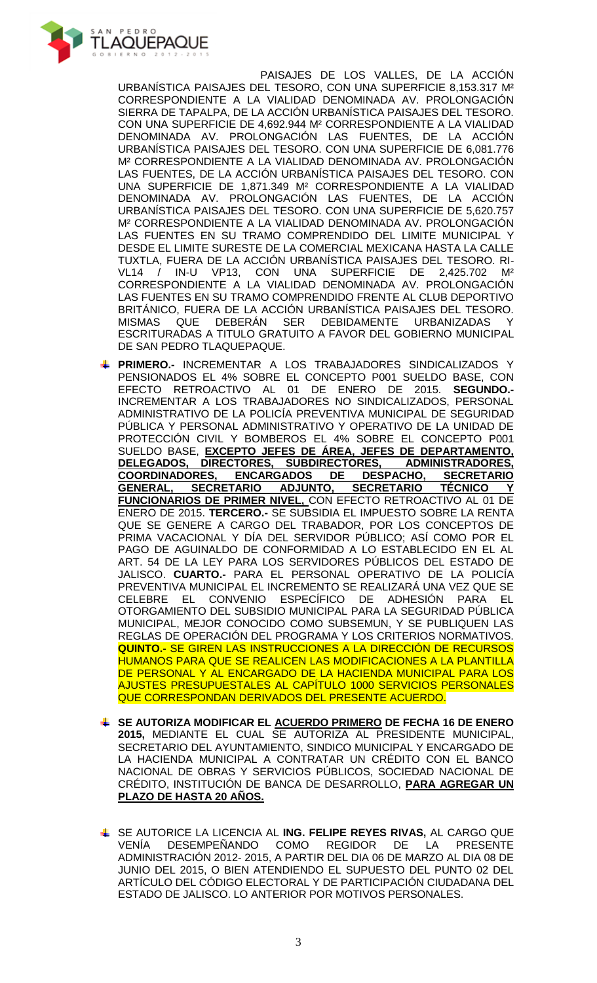

PAISAJES DE LOS VALLES, DE LA ACCIÓN URBANÍSTICA PAISAJES DEL TESORO, CON UNA SUPERFICIE 8,153.317 M² CORRESPONDIENTE A LA VIALIDAD DENOMINADA AV. PROLONGACIÓN SIERRA DE TAPALPA, DE LA ACCIÓN URBANÍSTICA PAISAJES DEL TESORO. CON UNA SUPERFICIE DE 4,692.944 M² CORRESPONDIENTE A LA VIALIDAD DENOMINADA AV. PROLONGACIÓN LAS FUENTES, DE LA ACCIÓN URBANÍSTICA PAISAJES DEL TESORO. CON UNA SUPERFICIE DE 6,081.776 M² CORRESPONDIENTE A LA VIALIDAD DENOMINADA AV. PROLONGACIÓN LAS FUENTES, DE LA ACCIÓN URBANÍSTICA PAISAJES DEL TESORO. CON UNA SUPERFICIE DE 1,871.349 M² CORRESPONDIENTE A LA VIALIDAD DENOMINADA AV. PROLONGACIÓN LAS FUENTES, DE LA ACCIÓN URBANÍSTICA PAISAJES DEL TESORO. CON UNA SUPERFICIE DE 5,620.757 M² CORRESPONDIENTE A LA VIALIDAD DENOMINADA AV. PROLONGACIÓN LAS FUENTES EN SU TRAMO COMPRENDIDO DEL LIMITE MUNICIPAL Y DESDE EL LIMITE SURESTE DE LA COMERCIAL MEXICANA HASTA LA CALLE TUXTLA, FUERA DE LA ACCIÓN URBANÍSTICA PAISAJES DEL TESORO. RI-IN-U VP13, CON UNA SUPERFICIE DE 2,425.702 CORRESPONDIENTE A LA VIALIDAD DENOMINADA AV. PROLONGACIÓN LAS FUENTES EN SU TRAMO COMPRENDIDO FRENTE AL CLUB DEPORTIVO BRITÁNICO, FUERA DE LA ACCIÓN URBANÍSTICA PAISAJES DEL TESORO. MISMAS QUE DEBERÁN SER DEBIDAMENTE URBANIZADAS Y ESCRITURADAS A TITULO GRATUITO A FAVOR DEL GOBIERNO MUNICIPAL DE SAN PEDRO TLAQUEPAQUE.

- **PRIMERO.-** INCREMENTAR A LOS TRABAJADORES SINDICALIZADOS Y PENSIONADOS EL 4% SOBRE EL CONCEPTO P001 SUELDO BASE, CON EFECTO RETROACTIVO AL 01 DE ENERO DE 2015. **SEGUNDO.-** INCREMENTAR A LOS TRABAJADORES NO SINDICALIZADOS, PERSONAL ADMINISTRATIVO DE LA POLICÍA PREVENTIVA MUNICIPAL DE SEGURIDAD PÚBLICA Y PERSONAL ADMINISTRATIVO Y OPERATIVO DE LA UNIDAD DE PROTECCIÓN CIVIL Y BOMBEROS EL 4% SOBRE EL CONCEPTO P001 SUELDO BASE, **EXCEPTO JEFES DE ÁREA, JEFES DE DEPARTAMENTO, DELEGADOS, DIRECTORES, SUBDIRECTORES, ADMINISTRADORES, COORDINADORES, ENCARGADOS DE DESPACHO, SECRETARIO GENERAL, SECRETARIO ADJUNTO, SECRETARIO TÉCNICO Y FUNCIONARIOS DE PRIMER NIVEL,** CON EFECTO RETROACTIVO AL 01 DE ENERO DE 2015. **TERCERO.-** SE SUBSIDIA EL IMPUESTO SOBRE LA RENTA QUE SE GENERE A CARGO DEL TRABADOR, POR LOS CONCEPTOS DE PRIMA VACACIONAL Y DÍA DEL SERVIDOR PÚBLICO; ASÍ COMO POR EL PAGO DE AGUINALDO DE CONFORMIDAD A LO ESTABLECIDO EN EL AL ART. 54 DE LA LEY PARA LOS SERVIDORES PÚBLICOS DEL ESTADO DE JALISCO. **CUARTO.-** PARA EL PERSONAL OPERATIVO DE LA POLICÍA PREVENTIVA MUNICIPAL EL INCREMENTO SE REALIZARÁ UNA VEZ QUE SE CELEBRE EL CONVENIO ESPECÍFICO DE ADHESIÓN PARA EL OTORGAMIENTO DEL SUBSIDIO MUNICIPAL PARA LA SEGURIDAD PÚBLICA MUNICIPAL, MEJOR CONOCIDO COMO SUBSEMUN, Y SE PUBLIQUEN LAS REGLAS DE OPERACIÓN DEL PROGRAMA Y LOS CRITERIOS NORMATIVOS. **QUINTO.-** SE GIREN LAS INSTRUCCIONES A LA DIRECCIÓN DE RECURSOS HUMANOS PARA QUE SE REALICEN LAS MODIFICACIONES A LA PLANTILLA DE PERSONAL Y AL ENCARGADO DE LA HACIENDA MUNICIPAL PARA LOS AJUSTES PRESUPUESTALES AL CAPÍTULO 1000 SERVICIOS PERSONALES QUE CORRESPONDAN DERIVADOS DEL PRESENTE ACUERDO.
- **SE AUTORIZA MODIFICAR EL ACUERDO PRIMERO DE FECHA 16 DE ENERO 2015,** MEDIANTE EL CUAL SE AUTORIZA AL PRESIDENTE MUNICIPAL, SECRETARIO DEL AYUNTAMIENTO, SINDICO MUNICIPAL Y ENCARGADO DE LA HACIENDA MUNICIPAL A CONTRATAR UN CRÉDITO CON EL BANCO NACIONAL DE OBRAS Y SERVICIOS PÚBLICOS, SOCIEDAD NACIONAL DE CRÉDITO, INSTITUCIÓN DE BANCA DE DESARROLLO, **PARA AGREGAR UN PLAZO DE HASTA 20 AÑOS.**
- SE AUTORICE LA LICENCIA AL **ING. FELIPE REYES RIVAS,** AL CARGO QUE VENÍA DESEMPEÑANDO COMO REGIDOR DE LA PRESENTE ADMINISTRACIÓN 2012- 2015, A PARTIR DEL DIA 06 DE MARZO AL DIA 08 DE JUNIO DEL 2015, O BIEN ATENDIENDO EL SUPUESTO DEL PUNTO 02 DEL ARTÍCULO DEL CÓDIGO ELECTORAL Y DE PARTICIPACIÓN CIUDADANA DEL ESTADO DE JALISCO. LO ANTERIOR POR MOTIVOS PERSONALES.